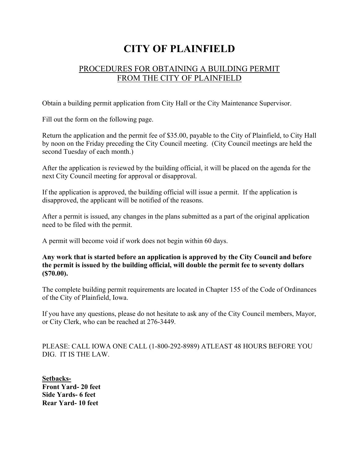## **CITY OF PLAINFIELD**

## PROCEDURES FOR OBTAINING A BUILDING PERMIT FROM THE CITY OF PLAINFIELD

Obtain a building permit application from City Hall or the City Maintenance Supervisor.

Fill out the form on the following page.

Return the application and the permit fee of \$35.00, payable to the City of Plainfield, to City Hall by noon on the Friday preceding the City Council meeting. (City Council meetings are held the second Tuesday of each month.)

After the application is reviewed by the building official, it will be placed on the agenda for the next City Council meeting for approval or disapproval.

If the application is approved, the building official will issue a permit. If the application is disapproved, the applicant will be notified of the reasons.

After a permit is issued, any changes in the plans submitted as a part of the original application need to be filed with the permit.

A permit will become void if work does not begin within 60 days.

**Any work that is started before an application is approved by the City Council and before the permit is issued by the building official, will double the permit fee to seventy dollars (\$70.00).**

The complete building permit requirements are located in Chapter 155 of the Code of Ordinances of the City of Plainfield, Iowa.

If you have any questions, please do not hesitate to ask any of the City Council members, Mayor, or City Clerk, who can be reached at 276-3449.

PLEASE: CALL IOWA ONE CALL (1-800-292-8989) ATLEAST 48 HOURS BEFORE YOU DIG. IT IS THE LAW.

**Setbacks-Front Yard- 20 feet Side Yards- 6 feet Rear Yard- 10 feet**